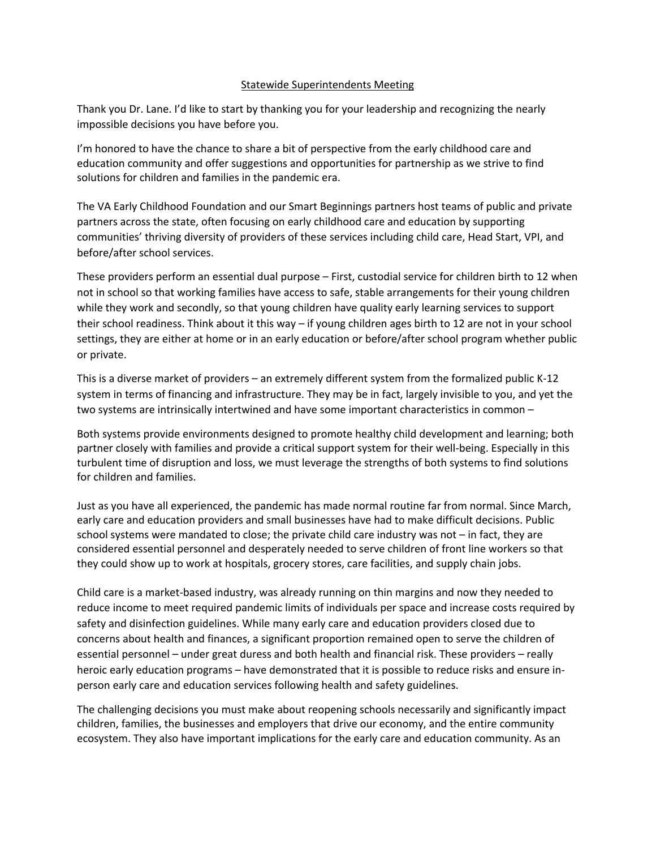## Statewide Superintendents Meeting

Thank you Dr. Lane. I'd like to start by thanking you for your leadership and recognizing the nearly impossible decisions you have before you.

I'm honored to have the chance to share a bit of perspective from the early childhood care and education community and offer suggestions and opportunities for partnership as we strive to find solutions for children and families in the pandemic era.

The VA Early Childhood Foundation and our Smart Beginnings partners host teams of public and private partners across the state, often focusing on early childhood care and education by supporting communities' thriving diversity of providers of these services including child care, Head Start, VPI, and before/after school services.

These providers perform an essential dual purpose – First, custodial service for children birth to 12 when not in school so that working families have access to safe, stable arrangements for their young children while they work and secondly, so that young children have quality early learning services to support their school readiness. Think about it this way – if young children ages birth to 12 are not in your school settings, they are either at home or in an early education or before/after school program whether public or private.

This is a diverse market of providers – an extremely different system from the formalized public K-12 system in terms of financing and infrastructure. They may be in fact, largely invisible to you, and yet the two systems are intrinsically intertwined and have some important characteristics in common –

Both systems provide environments designed to promote healthy child development and learning; both partner closely with families and provide a critical support system for their well-being. Especially in this turbulent time of disruption and loss, we must leverage the strengths of both systems to find solutions for children and families.

Just as you have all experienced, the pandemic has made normal routine far from normal. Since March, early care and education providers and small businesses have had to make difficult decisions. Public school systems were mandated to close; the private child care industry was not – in fact, they are considered essential personnel and desperately needed to serve children of front line workers so that they could show up to work at hospitals, grocery stores, care facilities, and supply chain jobs.

Child care is a market-based industry, was already running on thin margins and now they needed to reduce income to meet required pandemic limits of individuals per space and increase costs required by safety and disinfection guidelines. While many early care and education providers closed due to concerns about health and finances, a significant proportion remained open to serve the children of essential personnel – under great duress and both health and financial risk. These providers – really heroic early education programs – have demonstrated that it is possible to reduce risks and ensure inperson early care and education services following health and safety guidelines.

The challenging decisions you must make about reopening schools necessarily and significantly impact children, families, the businesses and employers that drive our economy, and the entire community ecosystem. They also have important implications for the early care and education community. As an